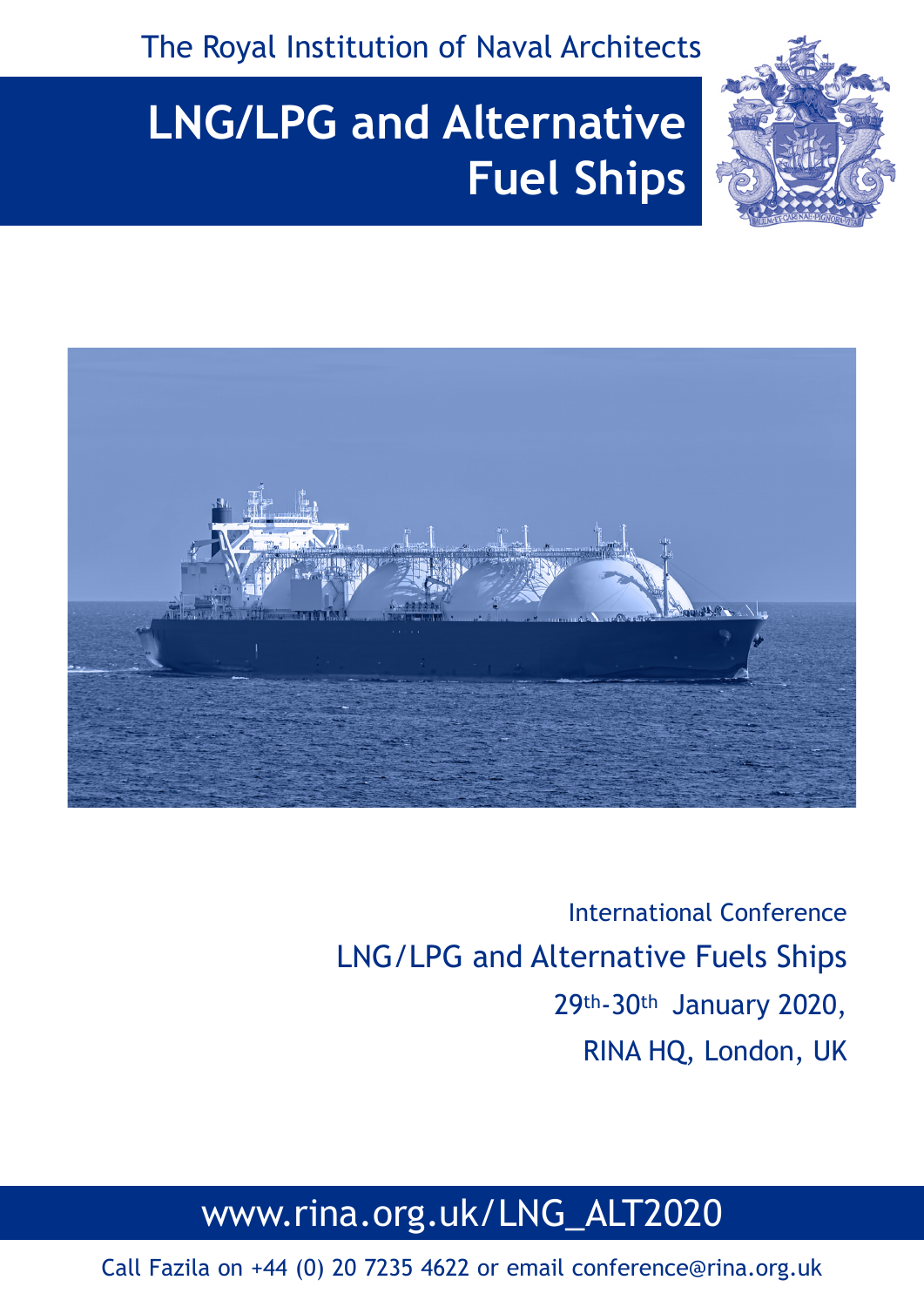The Royal Institution of Naval Architects



# **LNG/LPG and Alternative Fuel Ships**



International Conference LNG/LPG and Alternative Fuels Ships 29th-30th January 2020, RINA HQ, London, UK

## www.rina.org.uk/LNG\_ALT2020

Call Fazila on +44 (0) 20 7235 4622 or email conference@rina.org.uk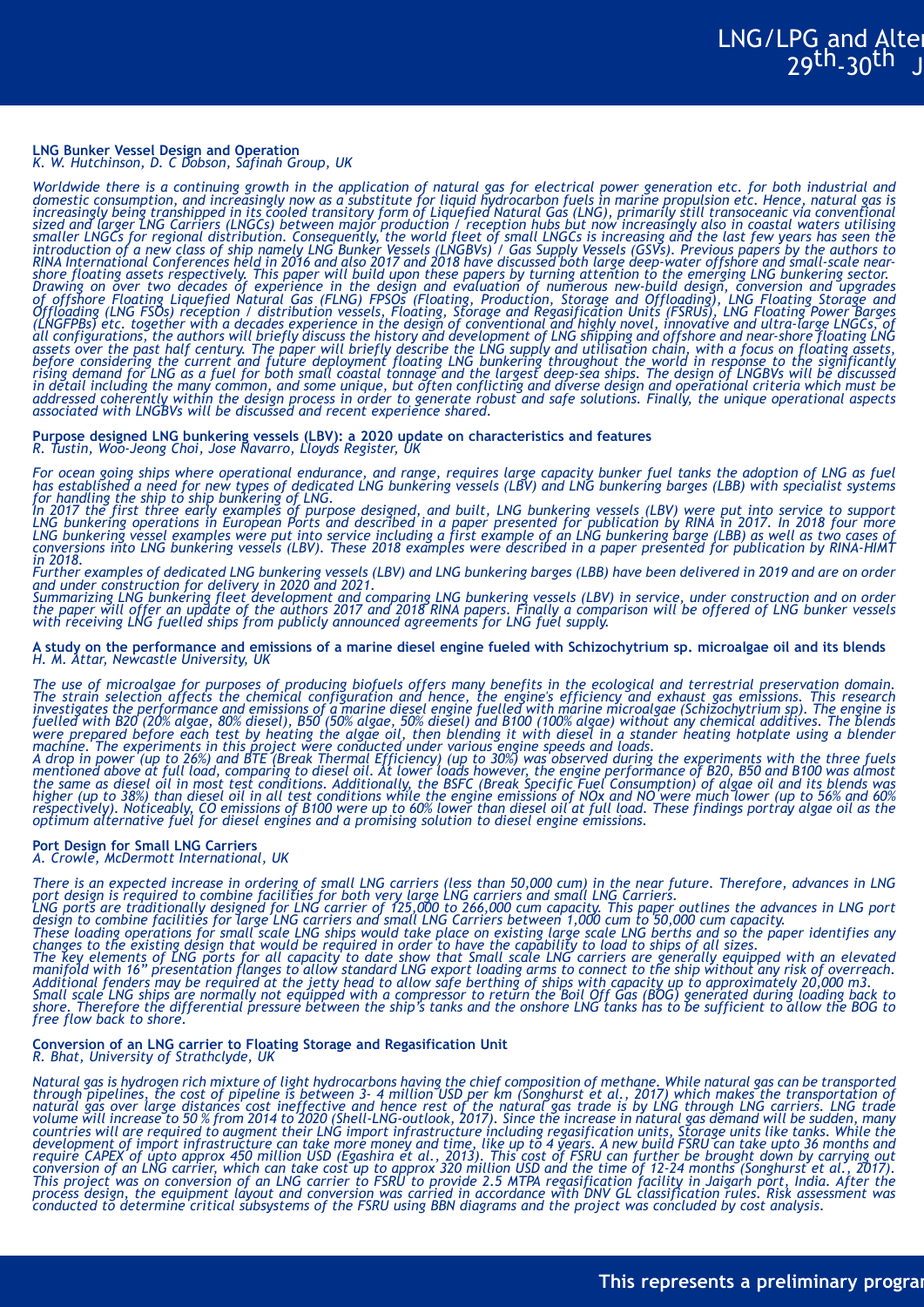#### **LNG Bunker Vessel Design and Operation** *K. W. Hutchinson, D. C Dobson, Safinah Group, UK*

*Worldwide there is a continuing growth in the application of natural gas for electrical power generation etc. for both industrial and domestic consumption, and increasingly now as a substitute for liquid hydrocarbon fuels in marine propulsion etc. Hence, natural gas is increasingly being transhipped in its cooled transitory form of Liquefied Natural Gas (LNG), primarily still transoceanic via conventional sized and larger LNG Carriers (LNGCs) between major production / reception hubs but now increasingly also in coastal waters utilising smaller LNGCs for regional distribution. Consequently, the world fleet of small LNGCs is increasing and the last few years has seen the introduction of a new class of ship namely LNG Bunker Vessels (LNGBVs) / Gas Supply Vessels (GSVs). Previous papers by the authors to RINA International Conferences held in 2016 and also 2017 and 2018 have discussed both large deep-water offshore and small-scale nearshore floating assets respectively. This paper will build upon these papers by turning attention to the emerging LNG bunkering sector. Drawing on over two decades of experience in the design and evaluation of numerous new-build design, conversion and upgrades of offshore Floating Liquefied Natural Gas (FLNG) FPSOs (Floating, Production, Storage and Offloading), LNG Floating Storage and Offloading (LNG FSOs) reception / distribution vessels, Floating, Storage and Regasification Units (FSRUs), LNG Floating Power Barges (LNGFPBs) etc. together with a decades experience in the design of conventional and highly novel, innovative and ultra-large LNGCs, of all configurations, the authors will briefly discuss the history and development of LNG shipping and offshore and near-shore floating LNG assets over the past half century. The paper will briefly describe the LNG supply and utilisation chain, with a focus on floating assets, before considering the current and future deployment floating LNG bunkering throughout the world in response to the significantly rising demand for LNG as a fuel for both small coastal tonnage and the largest deep-sea ships. The design of LNGBVs will be discussed in detail including the many common, and some unique, but often conflicting and diverse design and operational criteria which must be addressed coherently within the design process in order to generate robust and safe solutions. Finally, the unique operational aspects associated with LNGBVs will be discussed and recent experience shared.*

**Purpose designed LNG bunkering vessels (LBV): a 2020 update on characteristics and features** *R. Tustin, Woo-Jeong Choi, Jose Navarro, Lloyds Register, UK*

*For ocean going ships where operational endurance, and range, requires large capacity bunker fuel tanks the adoption of LNG as fuel has established a need for new types of dedicated LNG bunkering vessels (LBV) and LNG bunkering barges (LBB) with specialist systems* 

for handling the ship to ship bunkering of LNG.<br>In 2017 the first three early examples of purpose designed, and built, LNG bunkering vessels (LBV) were put into service to support<br>LNG bunkering operations in European Ports *LNG bunkering vessel examples were put into service including a first example of an LNG bunkering barge (LBB) as well as two cases of conversions into LNG bunkering vessels (LBV). These 2018 examples were described in a paper presented for publication by RINA-HIMT in 2018.*

*Further examples of dedicated LNG bunkering vessels (LBV) and LNG bunkering barges (LBB) have been delivered in 2019 and are on order and under construction for delivery in 2020 and 2021.*

*Summarizing LNG bunkering fleet development and comparing LNG bunkering vessels (LBV) in service, under construction and on order the paper will offer an update of the authors 2017 and 2018 RINA papers. Finally a comparison will be offered of LNG bunker vessels with receiving LNG fuelled ships from publicly announced agreements for LNG fuel supply.*

**A study on the performance and emissions of a marine diesel engine fueled with Schizochytrium sp. microalgae oil and its blends** *H. M. Attar, Newcastle University, UK*

*The use of microalgae for purposes of producing biofuels offers many benefits in the ecological and terrestrial preservation domain. The strain selection affects the chemical configuration and hence, the engine's efficiency and exhaust gas emissions. This research investigates the performance and emissions of a marine diesel engine fuelled with marine microalgae (Schizochytrium sp). The engine is fuelled with B20 (20% algae, 80% diesel), B50 (50% algae, 50% diesel) and B100 (100% algae) without any chemical additives. The blends were prepared before each test by heating the algae oil, then blending it with diesel in a stander heating hotplate using a blender machine. The experiments in this project were conducted under various engine speeds and loads.*

*A drop in power (up to 26%) and BTE (Break Thermal Efficiency) (up to 30%) was observed during the experiments with the three fuels mentioned above at full load, comparing to diesel oil. At lower loads however, the engine performance of B20, B50 and B100 was almost the same as diesel oil in most test conditions. Additionally, the BSFC (Break Specific Fuel Consumption) of algae oil and its blends was higher (up to 38%) than diesel oil in all test conditions while the engine emissions of NOx and NO were much lower (up to 56% and 60% respectively). Noticeably, CO emissions of B100 were up to 60% lower than diesel oil at full load. These findings portray algae oil as the optimum alternative fuel for diesel engines and a promising solution to diesel engine emissions.*

#### **Port Design for Small LNG Carriers**

*A. Crowle, McDermott International, UK*

*There is an expected increase in ordering of small LNG carriers (less than 50,000 cum) in the near future. Therefore, advances in LNG*  port design is required to combine facilities for both very large LNG carriers and small LNG Carriers.<br>LNG ports are traditionally designed for LNG carrier of 125,000 to 266,000 cum capacity. This paper outlines the advanc

*design to combine facilities for large LNG carriers and small LNG Carriers between 1,000 cum to 50,000 cum capacity. These loading operations for small scale LNG ships would take place on existing large scale LNG berths and so the paper identifies any changes to the existing design that would be required in order to have the capability to load to ships of all sizes. The key elements of LNG ports for all capacity to date show that Small scale LNG carriers are generally equipped with an elevated manifold with 16" presentation flanges to allow standard LNG export loading arms to connect to the ship without any risk of overreach. Additional fenders may be required at the jetty head to allow safe berthing of ships with capacity up to approximately 20,000 m3.*

*Small scale LNG ships are normally not equipped with a compressor to return the Boil Off Gas (BOG) generated during loading back to shore. Therefore the differential pressure between the ship's tanks and the onshore LNG tanks has to be sufficient to allow the BOG to free flow back to shore.*

### **Conversion of an LNG carrier to Floating Storage and Regasification Unit** *R. Bhat, University of Strathclyde, UK*

*Natural gas is hydrogen rich mixture of light hydrocarbons having the chief composition of methane. While natural gas can be transported*  through pipelines, the cost of pipeline is between 3- 4 million USD per km (Songhurst et al., 2017) which makes the transportation of<br>natural gas over large distances cost ineffective and hence rest of the natural gas trad *volume will increase to 50 % from 2014 to 2020 (Shell-LNG-outlook, 2017). Since the increase in natural gas demand will be sudden, many countries will are required to augment their LNG import infrastructure including regasification units, Storage units like tanks. While the development of import infrastructure can take more money and time, like up to 4 years. A new build FSRU can take upto 36 months and require CAPEX of upto approx 450 million USD (Egashira et al., 2013). This cost of FSRU can further be brought down by carrying out conversion of an LNG carrier, which can take cost up to approx 320 million USD and the time of 12-24 months (Songhurst et al., 2017). This project was on conversion of an LNG carrier to FSRU to provide 2.5 MTPA regasification facility in Jaigarh port, India. After the process design, the equipment layout and conversion was carried in accordance with DNV GL classification rules. Risk assessment was conducted to determine critical subsystems of the FSRU using BBN diagrams and the project was concluded by cost analysis.*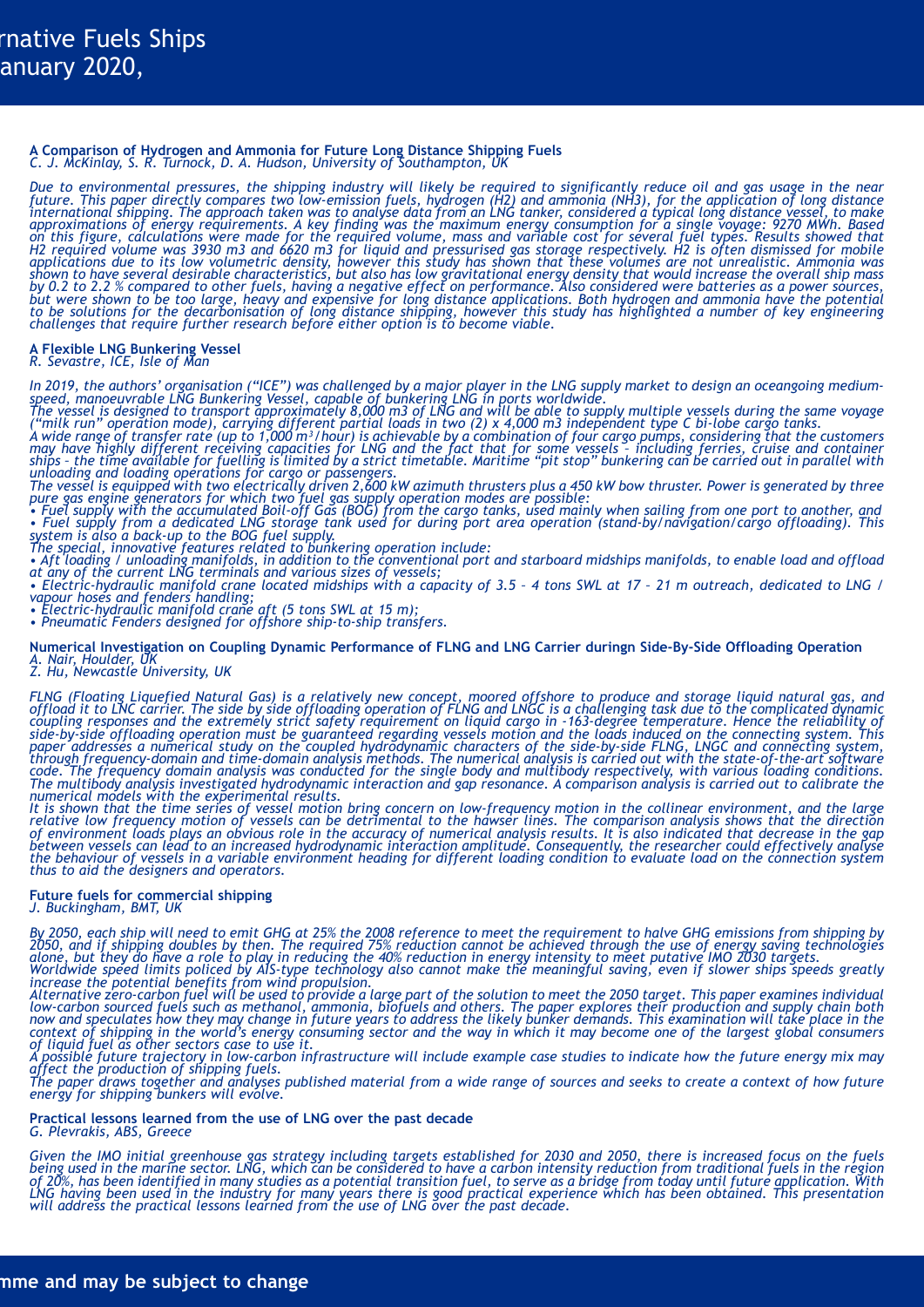#### **A Comparison of Hydrogen and Ammonia for Future Long Distance Shipping Fuels** *C. J. McKinlay, S. R. Turnock, D. A. Hudson, University of Southampton, UK*

*Due to environmental pressures, the shipping industry will likely be required to significantly reduce oil and gas usage in the near future. This paper directly compares two low-emission fuels, hydrogen (H2) and ammonia (NH3), for the application of long distance international shipping. The approach taken was to analyse data from an LNG tanker, considered a typical long distance vessel, to make approximations of energy requirements. A key finding was the maximum energy consumption for a single voyage: 9270 MWh. Based on this figure, calculations were made for the required volume, mass and variable cost for several fuel types. Results showed that H2 required volume was 3930 m3 and 6620 m3 for liquid and pressurised gas storage respectively. H2 is often dismissed for mobile applications due to its low volumetric density, however this study has shown that these volumes are not unrealistic. Ammonia was shown to have several desirable characteristics, but also has low gravitational energy density that would increase the overall ship mass by 0.2 to 2.2 % compared to other fuels, having a negative effect on performance. Also considered were batteries as a power sources, but were shown to be too large, heavy and expensive for long distance applications. Both hydrogen and ammonia have the potential to be solutions for the decarbonisation of long distance shipping, however this study has highlighted a number of key engineering challenges that require further research before either option is to become viable.*

#### **A Flexible LNG Bunkering Vessel** *R. Sevastre, ICE, Isle of Man*

*In 2019, the authors' organisation ("ICE") was challenged by a major player in the LNG supply market to design an oceangoing mediumspeed, manoeuvrable LNG Bunkering Vessel, capable of bunkering LNG in ports worldwide.*

*The vessel is designed to transport approximately 8,000 m3 of LNG and will be able to supply multiple vessels during the same voyage ("milk run" operation mode), carrying different partial loads in two (2) x 4,000 m3 independent type C bi-lobe cargo tanks.*

*A wide range of transfer rate (up to 1,000 m³/hour) is achievable by a combination of four cargo pumps, considering that the customers may have highly different receiving capacities for LNG and the fact that for some vessels – including ferries, cruise and container ships – the time available for fuelling is limited by a strict timetable. Maritime "pit stop" bunkering can be carried out in parallel with unloading and loading operations for cargo or passengers.*

*The vessel is equipped with two electrically driven 2,600 kW azimuth thrusters plus a 450 kW bow thruster. Power is generated by three* 

pure gas engine generators for which two fuel gas supply operation modes are possible:<br>• Fuel supply with the accumulated Boil-off Gas (BOG) from the cargo tanks, used mainly when sailing from one port to another, and<br>• Fu *system is also a back-up to the BOG fuel supply.*

*The special, innovative features related to bunkering operation include:*

*• Aft loading / unloading manifolds, in addition to the conventional port and starboard midships manifolds, to enable load and offload at any of the current LNG terminals and various sizes of vessels;*

*• Electric-hydraulic manifold crane located midships with a capacity of 3.5 – 4 tons SWL at 17 – 21 m outreach, dedicated to LNG / vapour hoses and fenders handling;*

*• Electric-hydraulic manifold crane aft (5 tons SWL at 15 m); • Pneumatic Fenders designed for offshore ship-to-ship transfers.*

**Numerical Investigation on Coupling Dynamic Performance of FLNG and LNG Carrier duringn Side-By-Side Offloading Operation** *A. Nair, Houlder, UK*

*Z. Hu, Newcastle University, UK*

*FLNG (Floating Liquefied Natural Gas) is a relatively new concept, moored offshore to produce and storage liquid natural gas, and offload it to LNC carrier. The side by side offloading operation of FLNG and LNGC is a challenging task due to the complicated dynamic coupling responses and the extremely strict safety requirement on liquid cargo in -163-degree temperature. Hence the reliability of side-by-side offloading operation must be guaranteed regarding vessels motion and the loads induced on the connecting system. This paper addresses a numerical study on the coupled hydrodynamic characters of the side-by-side FLNG, LNGC and connecting system, through frequency-domain and time-domain analysis methods. The numerical analysis is carried out with the state-of-the-art software code. The frequency domain analysis was conducted for the single body and multibody respectively, with various loading conditions. The multibody analysis investigated hydrodynamic interaction and gap resonance. A comparison analysis is carried out to calibrate the numerical models with the experimental results.*

*It is shown that the time series of vessel motion bring concern on low-frequency motion in the collinear environment, and the large relative low frequency motion of vessels can be detrimental to the hawser lines. The comparison analysis shows that the direction of environment loads plays an obvious role in the accuracy of numerical analysis results. It is also indicated that decrease in the gap between vessels can lead to an increased hydrodynamic interaction amplitude. Consequently, the researcher could effectively analyse the behaviour of vessels in a variable environment heading for different loading condition to evaluate load on the connection system thus to aid the designers and operators.*

#### **Future fuels for commercial shipping** *J. Buckingham, BMT, UK*

*By 2050, each ship will need to emit GHG at 25% the 2008 reference to meet the requirement to halve GHG emissions from shipping by 2050, and if shipping doubles by then. The required 75% reduction cannot be achieved through the use of energy saving technologies alone, but they do have a role to play in reducing the 40% reduction in energy intensity to meet putative IMO 2030 targets. Worldwide speed limits policed by AIS-type technology also cannot make the meaningful saving, even if slower ships speeds greatly* 

*increase the potential benefits from wind propulsion. Alternative zero-carbon fuel will be used to provide a large part of the solution to meet the 2050 target. This paper examines individual low-carbon sourced fuels such as methanol, ammonia, biofuels and others. The paper explores their production and supply chain both now and speculates how they may change in future years to address the likely bunker demands. This examination will take place in the context of shipping in the world's energy consuming sector and the way in which it may become one of the largest global consumers of liquid fuel as other sectors case to use it.*

*A possible future trajectory in low-carbon infrastructure will include example case studies to indicate how the future energy mix may affect the production of shipping fuels.*

*The paper draws together and analyses published material from a wide range of sources and seeks to create a context of how future energy for shipping bunkers will evolve.*

#### **Practical lessons learned from the use of LNG over the past decade** *G. Plevrakis, ABS, Greece*

*Given the IMO initial greenhouse gas strategy including targets established for 2030 and 2050, there is increased focus on the fuels being used in the marine sector. LNG, which can be considered to have a carbon intensity reduction from traditional fuels in the region of 20%, has been identified in many studies as a potential transition fuel, to serve as a bridge from today until future application. With LNG having been used in the industry for many years there is good practical experience which has been obtained. This presentation will address the practical lessons learned from the use of LNG over the past decade.*